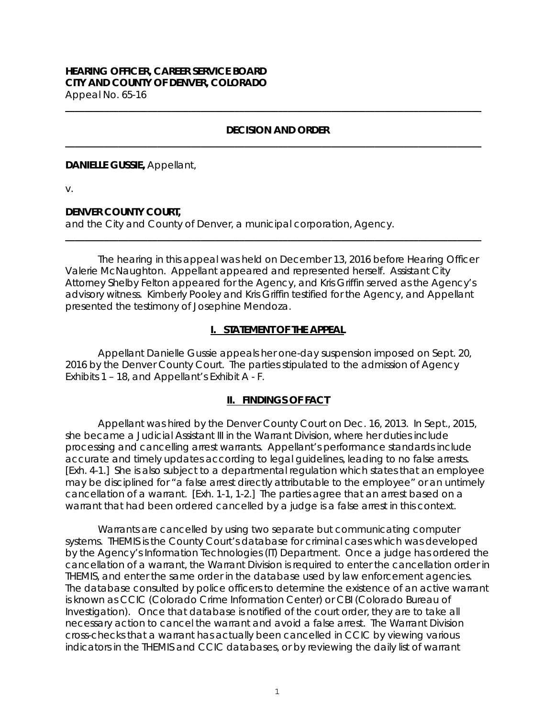#### **HEARING OFFICER, CAREER SERVICE BOARD CITY AND COUNTY OF DENVER, COLORADO** Appeal No. 65-16

### **DECISION AND ORDER \_\_\_\_\_\_\_\_\_\_\_\_\_\_\_\_\_\_\_\_\_\_\_\_\_\_\_\_\_\_\_\_\_\_\_\_\_\_\_\_\_\_\_\_\_\_\_\_\_\_\_\_\_\_\_\_\_\_\_\_\_\_\_\_\_\_\_\_\_\_\_\_\_\_\_\_\_\_\_\_\_\_\_\_\_\_**

**\_\_\_\_\_\_\_\_\_\_\_\_\_\_\_\_\_\_\_\_\_\_\_\_\_\_\_\_\_\_\_\_\_\_\_\_\_\_\_\_\_\_\_\_\_\_\_\_\_\_\_\_\_\_\_\_\_\_\_\_\_\_\_\_\_\_\_\_\_\_\_\_\_\_\_\_\_\_\_\_\_\_\_\_\_\_** 

#### **DANIELLE GUSSIE,** Appellant,

v.

## **DENVER COUNTY COURT,**

and the City and County of Denver, a municipal corporation, Agency.

The hearing in this appeal was held on December 13, 2016 before Hearing Officer Valerie McNaughton. Appellant appeared and represented herself. Assistant City Attorney Shelby Felton appeared for the Agency, and Kris Griffin served as the Agency's advisory witness. Kimberly Pooley and Kris Griffin testified for the Agency, and Appellant presented the testimony of Josephine Mendoza.

**\_\_\_\_\_\_\_\_\_\_\_\_\_\_\_\_\_\_\_\_\_\_\_\_\_\_\_\_\_\_\_\_\_\_\_\_\_\_\_\_\_\_\_\_\_\_\_\_\_\_\_\_\_\_\_\_\_\_\_\_\_\_\_\_\_\_\_\_\_\_\_\_\_\_\_\_\_\_\_\_\_\_\_\_\_\_** 

## **I. STATEMENT OF THE APPEAL**

 Appellant Danielle Gussie appeals her one-day suspension imposed on Sept. 20, 2016 by the Denver County Court. The parties stipulated to the admission of Agency Exhibits 1 – 18, and Appellant's Exhibit A - F.

## **II. FINDINGS OF FACT**

Appellant was hired by the Denver County Court on Dec. 16, 2013. In Sept., 2015, she became a Judicial Assistant III in the Warrant Division, where her duties include processing and cancelling arrest warrants. Appellant's performance standards include accurate and timely updates according to legal guidelines, leading to no false arrests. [Exh. 4-1.] She is also subject to a departmental regulation which states that an employee may be disciplined for "a false arrest directly attributable to the employee" or an untimely cancellation of a warrant. [Exh. 1-1, 1-2.] The parties agree that an arrest based on a warrant that had been ordered cancelled by a judge is a false arrest in this context.

Warrants are cancelled by using two separate but communicating computer systems. THEMIS is the County Court's database for criminal cases which was developed by the Agency's Information Technologies (IT) Department. Once a judge has ordered the cancellation of a warrant, the Warrant Division is required to enter the cancellation order in THEMIS, and enter the same order in the database used by law enforcement agencies. The database consulted by police officers to determine the existence of an active warrant is known as CCIC (Colorado Crime Information Center) or CBI (Colorado Bureau of Investigation). Once that database is notified of the court order, they are to take all necessary action to cancel the warrant and avoid a false arrest. The Warrant Division cross-checks that a warrant has actually been cancelled in CCIC by viewing various indicators in the THEMIS and CCIC databases, or by reviewing the daily list of warrant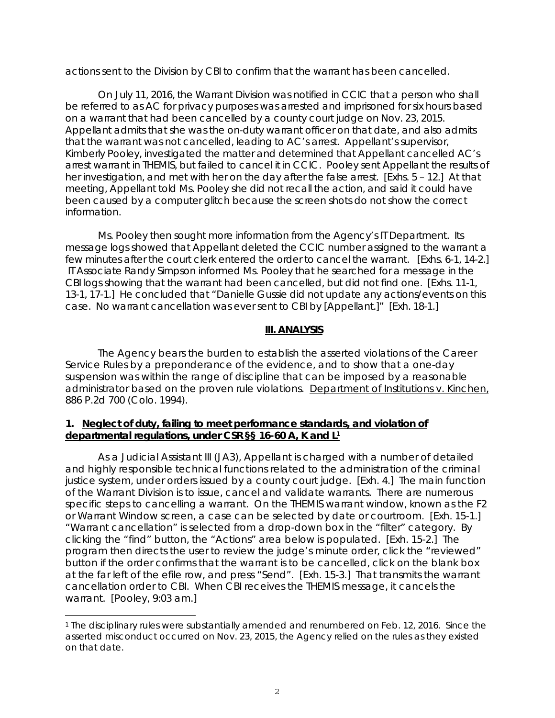actions sent to the Division by CBI to confirm that the warrant has been cancelled.

On July 11, 2016, the Warrant Division was notified in CCIC that a person who shall be referred to as AC for privacy purposes was arrested and imprisoned for six hours based on a warrant that had been cancelled by a county court judge on Nov. 23, 2015. Appellant admits that she was the on-duty warrant officer on that date, and also admits that the warrant was not cancelled, leading to AC's arrest. Appellant's supervisor, Kimberly Pooley, investigated the matter and determined that Appellant cancelled AC's arrest warrant in THEMIS, but failed to cancel it in CCIC. Pooley sent Appellant the results of her investigation, and met with her on the day after the false arrest. [Exhs. 5 – 12.] At that meeting, Appellant told Ms. Pooley she did not recall the action, and said it could have been caused by a computer glitch because the screen shots do not show the correct information.

Ms. Pooley then sought more information from the Agency's IT Department. Its message logs showed that Appellant deleted the CCIC number assigned to the warrant a few minutes after the court clerk entered the order to cancel the warrant. [Exhs. 6-1, 14-2.] IT Associate Randy Simpson informed Ms. Pooley that he searched for a message in the CBI logs showing that the warrant had been cancelled, but did not find one. [Exhs. 11-1, 13-1, 17-1.] He concluded that "Danielle Gussie did not update any actions/events on this case. No warrant cancellation was ever sent to CBI by [Appellant.]" [Exh. 18-1.]

#### **III. ANALYSIS**

 The Agency bears the burden to establish the asserted violations of the Career Service Rules by a preponderance of the evidence, and to show that a one-day suspension was within the range of discipline that can be imposed by a reasonable administrator based on the proven rule violations. Department of Institutions v. Kinchen, 886 P.2d 700 (Colo. 1994).

## **1. Neglect of duty, failing to meet performance standards, and violation of departmental regulations, under CSR §§ 16-60 A, K and L1**

 As a Judicial Assistant III (JA3), Appellant is charged with a number of detailed and highly responsible technical functions related to the administration of the criminal justice system, under orders issued by a county court judge. [Exh. 4.] The main function of the Warrant Division is to issue, cancel and validate warrants. There are numerous specific steps to cancelling a warrant. On the THEMIS warrant window, known as the F2 or Warrant Window screen, a case can be selected by date or courtroom. [Exh. 15-1.] "Warrant cancellation" is selected from a drop-down box in the "filter" category. By clicking the "find" button, the "Actions" area below is populated. [Exh. 15-2.] The program then directs the user to review the judge's minute order, click the "reviewed" button if the order confirms that the warrant is to be cancelled, click on the blank box at the far left of the efile row, and press "Send". [Exh. 15-3.] That transmits the warrant cancellation order to CBI. When CBI receives the THEMIS message, it cancels the warrant. [Pooley, 9:03 am.]

<sup>1</sup> The disciplinary rules were substantially amended and renumbered on Feb. 12, 2016. Since the asserted misconduct occurred on Nov. 23, 2015, the Agency relied on the rules as they existed on that date.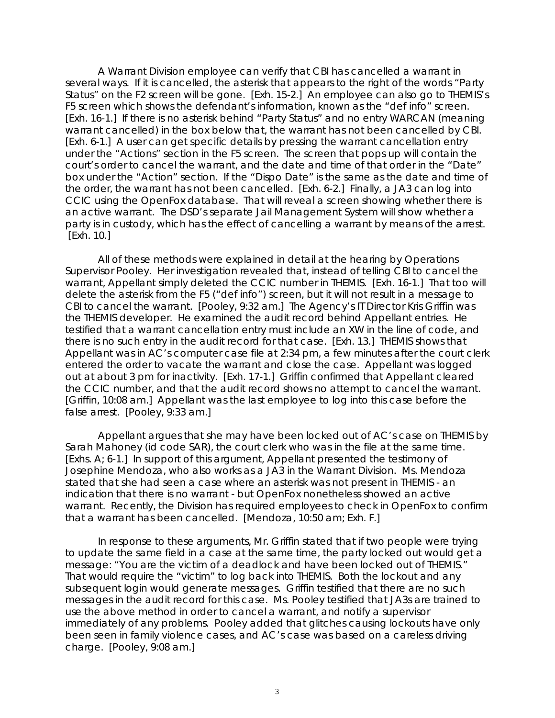A Warrant Division employee can verify that CBI has cancelled a warrant in several ways. If it is cancelled, the asterisk that appears to the right of the words "Party Status" on the F2 screen will be gone. [Exh. 15-2.] An employee can also go to THEMIS's F5 screen which shows the defendant's information, known as the "def info" screen. [Exh. 16-1.] If there is no asterisk behind "Party Status" and no entry WARCAN (meaning warrant cancelled) in the box below that, the warrant has not been cancelled by CBI. [Exh. 6-1.] A user can get specific details by pressing the warrant cancellation entry under the "Actions" section in the F5 screen. The screen that pops up will contain the court's order to cancel the warrant, and the date and time of that order in the "Date" box under the "Action" section. If the "Dispo Date" is the same as the date and time of the order, the warrant has not been cancelled. [Exh. 6-2.] Finally, a JA3 can log into CCIC using the OpenFox database. That will reveal a screen showing whether there is an active warrant. The DSD's separate Jail Management System will show whether a party is in custody, which has the effect of cancelling a warrant by means of the arrest. [Exh. 10.]

 All of these methods were explained in detail at the hearing by Operations Supervisor Pooley. Her investigation revealed that, instead of telling CBI to cancel the warrant, Appellant simply deleted the CCIC number in THEMIS. [Exh. 16-1.] That too will delete the asterisk from the F5 ("def info") screen, but it will not result in a message to CBI to cancel the warrant. [Pooley, 9:32 am.] The Agency's IT Director Kris Griffin was the THEMIS developer. He examined the audit record behind Appellant entries. He testified that a warrant cancellation entry must include an XW in the line of code, and there is no such entry in the audit record for that case. [Exh. 13.] THEMIS shows that Appellant was in AC's computer case file at 2:34 pm, a few minutes after the court clerk entered the order to vacate the warrant and close the case. Appellant was logged out at about 3 pm for inactivity. [Exh. 17-1.] Griffin confirmed that Appellant cleared the CCIC number, and that the audit record shows no attempt to cancel the warrant. [Griffin, 10:08 am.] Appellant was the last employee to log into this case before the false arrest. [Pooley, 9:33 am.]

 Appellant argues that she may have been locked out of AC's case on THEMIS by Sarah Mahoney (id code SAR), the court clerk who was in the file at the same time. [Exhs. A; 6-1.] In support of this argument, Appellant presented the testimony of Josephine Mendoza, who also works as a JA3 in the Warrant Division. Ms. Mendoza stated that she had seen a case where an asterisk was not present in THEMIS - an indication that there is no warrant - but OpenFox nonetheless showed an active warrant. Recently, the Division has required employees to check in OpenFox to confirm that a warrant has been cancelled. [Mendoza, 10:50 am; Exh. F.]

 In response to these arguments, Mr. Griffin stated that if two people were trying to update the same field in a case at the same time, the party locked out would get a message: "You are the victim of a deadlock and have been locked out of THEMIS." That would require the "victim" to log back into THEMIS. Both the lockout and any subsequent login would generate messages. Griffin testified that there are no such messages in the audit record for this case. Ms. Pooley testified that JA3s are trained to use the above method in order to cancel a warrant, and notify a supervisor immediately of any problems. Pooley added that glitches causing lockouts have only been seen in family violence cases, and AC's case was based on a careless driving charge. [Pooley, 9:08 am.]